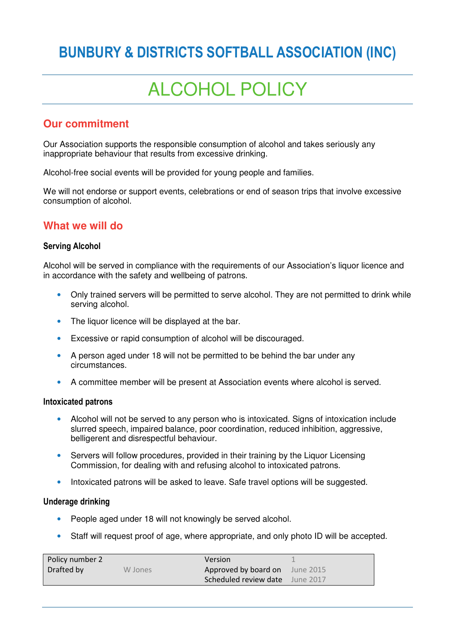# **BUNBURY & DISTRICTS SOFTBALL ASSOCIATION (INC)**

# ALCOHOL POLICY

# **Our commitment**

Our Association supports the responsible consumption of alcohol and takes seriously any inappropriate behaviour that results from excessive drinking.

Alcohol-free social events will be provided for young people and families.

We will not endorse or support events, celebrations or end of season trips that involve excessive consumption of alcohol.

# **What we will do**

#### **Serving Alcohol**

Alcohol will be served in compliance with the requirements of our Association's liquor licence and in accordance with the safety and wellbeing of patrons.

- Only trained servers will be permitted to serve alcohol. They are not permitted to drink while serving alcohol.
- The liquor licence will be displayed at the bar.
- Excessive or rapid consumption of alcohol will be discouraged.
- A person aged under 18 will not be permitted to be behind the bar under any circumstances.
- A committee member will be present at Association events where alcohol is served.

#### **Intoxicated patrons**

- Alcohol will not be served to any person who is intoxicated. Signs of intoxication include slurred speech, impaired balance, poor coordination, reduced inhibition, aggressive, belligerent and disrespectful behaviour.
- Servers will follow procedures, provided in their training by the Liquor Licensing Commission, for dealing with and refusing alcohol to intoxicated patrons.
- Intoxicated patrons will be asked to leave. Safe travel options will be suggested.

#### **Underage drinking**

- People aged under 18 will not knowingly be served alcohol.
- Staff will request proof of age, where appropriate, and only photo ID will be accepted.

| Policy number 2 |         | Version                         |  |
|-----------------|---------|---------------------------------|--|
| Drafted by      | W Jones | Approved by board on June 2015  |  |
|                 |         | Scheduled review date June 2017 |  |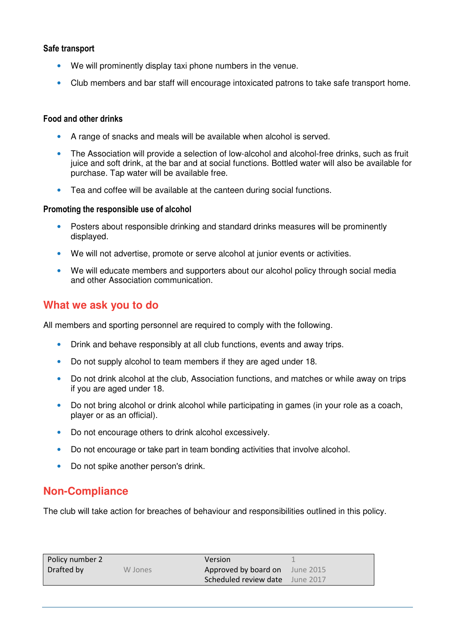#### **Safe transport**

- We will prominently display taxi phone numbers in the venue.
- Club members and bar staff will encourage intoxicated patrons to take safe transport home.

#### **Food and other drinks**

- A range of snacks and meals will be available when alcohol is served.
- The Association will provide a selection of low-alcohol and alcohol-free drinks, such as fruit juice and soft drink, at the bar and at social functions. Bottled water will also be available for purchase. Tap water will be available free.
- Tea and coffee will be available at the canteen during social functions.

#### **Promoting the responsible use of alcohol**

- Posters about responsible drinking and standard drinks measures will be prominently displayed.
- We will not advertise, promote or serve alcohol at junior events or activities.
- We will educate members and supporters about our alcohol policy through social media and other Association communication.

## **What we ask you to do**

All members and sporting personnel are required to comply with the following.

- Drink and behave responsibly at all club functions, events and away trips.
- Do not supply alcohol to team members if they are aged under 18.
- Do not drink alcohol at the club, Association functions, and matches or while away on trips if you are aged under 18.
- Do not bring alcohol or drink alcohol while participating in games (in your role as a coach, player or as an official).
- Do not encourage others to drink alcohol excessively.
- Do not encourage or take part in team bonding activities that involve alcohol.
- Do not spike another person's drink.

## **Non-Compliance**

The club will take action for breaches of behaviour and responsibilities outlined in this policy.

| Policy number 2 |         | Version                         |  |
|-----------------|---------|---------------------------------|--|
| Drafted by      | W Jones | Approved by board on June 2015  |  |
|                 |         | Scheduled review date June 2017 |  |